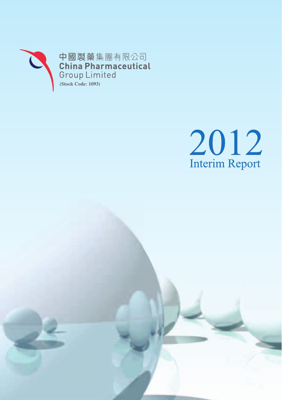



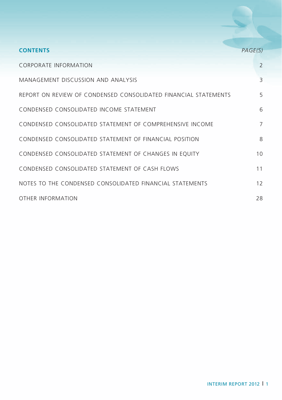| <b>CONTENTS</b>                                                 | PAGE(S)       |
|-----------------------------------------------------------------|---------------|
| <b>CORPORATE INFORMATION</b>                                    | $\mathcal{P}$ |
| MANAGEMENT DISCUSSION AND ANALYSIS                              | 3             |
| REPORT ON REVIEW OF CONDENSED CONSOLIDATED FINANCIAL STATEMENTS | 5             |
| CONDENSED CONSOLIDATED INCOME STATEMENT                         | 6             |
| CONDENSED CONSOLIDATED STATEMENT OF COMPREHENSIVE INCOME        | 7             |
| CONDENSED CONSOLIDATED STATEMENT OF FINANCIAL POSITION          | 8             |
| CONDENSED CONSOLIDATED STATEMENT OF CHANGES IN EQUITY           | 10            |
| CONDENSED CONSOLIDATED STATEMENT OF CASH FLOWS                  | 11            |
| NOTES TO THE CONDENSED CONSOLIDATED FINANCIAL STATEMENTS        | 12            |
| OTHER INFORMATION                                               | 28            |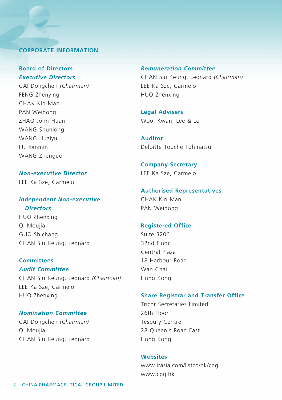# **Corporate Information**

# **Board of Directors** *Executive Directors*

Cai Dongchen *(Chairman)* FENG Zhenying CHAK Kin Man PAN Weidong ZHAO John Huan WANG Shunlong WANG Huaiyu LU Jianmin WANG Zhenguo

*Non-executive Director* LEE Ka Sze, Carmelo

# *Independent Non-executive Directors*

HUO Zhenxing QI Moujia GUO Shichang CHAN Siu Keung, Leonard

## **Committees**

*Audit Committee* CHAN Siu Keung, Leonard *(Chairman)* LEE Ka Sze, Carmelo HUO Zhenxing

# *Nomination Committee*

CAI Dongchen *(Chairman)* QI Moujia CHAN Siu Keung, Leonard

# *Remuneration Committee*

CHAN Siu Keung, Leonard *(Chairman)* LEE Ka Sze, Carmelo HUO Zhenxing

**Legal Advisers** Woo, Kwan, Lee & Lo

**Auditor** Deloitte Touche Tohmatsu

**Company Secretary** LEE Ka Sze, Carmelo

# **Authorised Representatives**

CHAK Kin Man PAN Weidong

# **Registered Office**

Suite 3206 32nd Floor Central Plaza 18 Harbour Road Wan Chai Hong Kong

# **Share Registrar and Transfer Office**

Tricor Secretaries Limited 26th Floor Tesbury Centre 28 Queen's Road East Hong Kong

# **Websites**

www.irasia.com/listco/hk/cpg www.cpg.hk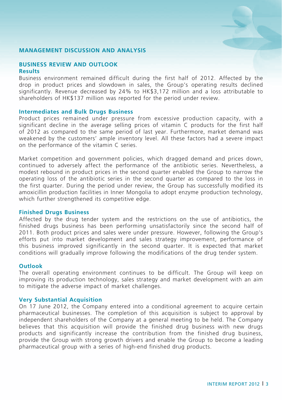## **MANAGEMENT DISCUSSION AND ANALYSIS**

## **BUSINESS REVIEW AND OUTLOOK Results**

Business environment remained difficult during the first half of 2012. Affected by the drop in product prices and slowdown in sales, the Group's operating results declined significantly. Revenue decreased by 24% to HK\$3,172 million and a loss attributable to shareholders of HK\$137 million was reported for the period under review.

#### **Intermediates and Bulk Drugs Business**

Product prices remained under pressure from excessive production capacity, with a significant decline in the average selling prices of vitamin C products for the first half of 2012 as compared to the same period of last year. Furthermore, market demand was weakened by the customers' ample inventory level. All these factors had a severe impact on the performance of the vitamin C series.

Market competition and government policies, which dragged demand and prices down, continued to adversely affect the performance of the antibiotic series. Nevertheless, a modest rebound in product prices in the second quarter enabled the Group to narrow the operating loss of the antibiotic series in the second quarter as compared to the loss in the first quarter. During the period under review, the Group has successfully modified its amoxicillin production facilities in Inner Mongolia to adopt enzyme production technology, which further strengthened its competitive edge.

## **Finished Drugs Business**

Affected by the drug tender system and the restrictions on the use of antibiotics, the finished drugs business has been performing unsatisfactorily since the second half of 2011. Both product prices and sales were under pressure. However, following the Group's efforts put into market development and sales strategy improvement, performance of this business improved significantly in the second quarter. It is expected that market conditions will gradually improve following the modifications of the drug tender system.

#### **Outlook**

The overall operating environment continues to be difficult. The Group will keep on improving its production technology, sales strategy and market development with an aim to mitigate the adverse impact of market challenges.

## **Very Substantial Acquisition**

On 17 June 2012, the Company entered into a conditional agreement to acquire certain pharmaceutical businesses. The completion of this acquisition is subject to approval by independent shareholders of the Company at a general meeting to be held. The Company believes that this acquisition will provide the finished drug business with new drugs products and significantly increase the contribution from the finished drug business, provide the Group with strong growth drivers and enable the Group to become a leading pharmaceutical group with a series of high-end finished drug products.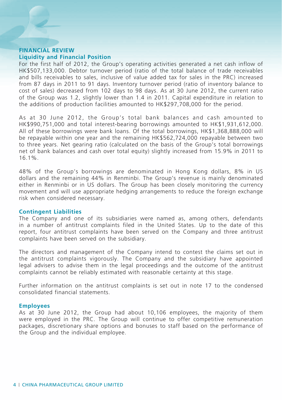## **Financial Review Liquidity and Financial Position**

For the first half of 2012, the Group's operating activities generated a net cash inflow of HK\$507,133,000. Debtor turnover period (ratio of the total balance of trade receivables and bills receivables to sales, inclusive of value added tax for sales in the PRC) increased from 87 days in 2011 to 91 days. Inventory turnover period (ratio of inventory balance to cost of sales) decreased from 102 days to 98 days. As at 30 June 2012, the current ratio of the Group was 1.2, slightly lower than 1.4 in 2011. Capital expenditure in relation to the additions of production facilities amounted to HK\$297,708,000 for the period.

As at 30 June 2012, the Group's total bank balances and cash amounted to HK\$990,751,000 and total interest-bearing borrowings amounted to HK\$1,931,612,000. All of these borrowings were bank loans. Of the total borrowings, HK\$1,368,888,000 will be repayable within one year and the remaining HK\$562,724,000 repayable between two to three years. Net gearing ratio (calculated on the basis of the Group's total borrowings net of bank balances and cash over total equity) slightly increased from 15.9% in 2011 to 16.1%.

48% of the Group's borrowings are denominated in Hong Kong dollars, 8% in US dollars and the remaining 44% in Renminbi. The Group's revenue is mainly denominated either in Renminbi or in US dollars. The Group has been closely monitoring the currency movement and will use appropriate hedging arrangements to reduce the foreign exchange risk when considered necessary.

## **Contingent Liabilities**

The Company and one of its subsidiaries were named as, among others, defendants in a number of antitrust complaints filed in the United States. Up to the date of this report, four antitrust complaints have been served on the Company and three antitrust complaints have been served on the subsidiary.

The directors and management of the Company intend to contest the claims set out in the antitrust complaints vigorously. The Company and the subsidiary have appointed legal advisers to advise them in the legal proceedings and the outcome of the antitrust complaints cannot be reliably estimated with reasonable certainty at this stage.

Further information on the antitrust complaints is set out in note 17 to the condensed consolidated financial statements.

## **Employees**

As at 30 June 2012, the Group had about 10,106 employees, the majority of them were employed in the PRC. The Group will continue to offer competitive remuneration packages, discretionary share options and bonuses to staff based on the performance of the Group and the individual employee.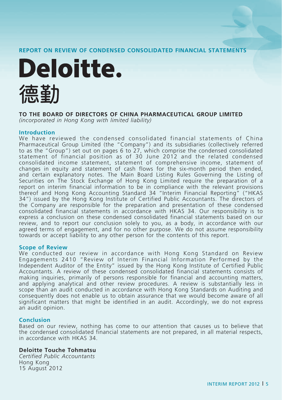## **REPORT ON REVIEW OF CONDENSED CONSOLIDATED FINANCIAL STATEMENTS**



## **TO THE BOARD OF DIRECTORS OF CHINA PHARMACEUTICAL GROUP LIMITED**

*(incorporated in Hong Kong with limited liability)*

#### **Introduction**

We have reviewed the condensed consolidated financial statements of China Pharmaceutical Group Limited (the "Company") and its subsidiaries (collectively referred to as the "Group") set out on pages 6 to 27, which comprise the condensed consolidated statement of financial position as of 30 June 2012 and the related condensed consolidated income statement, statement of comprehensive income, statement of changes in equity and statement of cash flows for the six-month period then ended, and certain explanatory notes. The Main Board Listing Rules Governing the Listing of Securities on The Stock Exchange of Hong Kong Limited require the preparation of a report on interim financial information to be in compliance with the relevant provisions thereof and Hong Kong Accounting Standard 34 "Interim Financial Reporting" ("HKAS 34") issued by the Hong Kong Institute of Certified Public Accountants. The directors of the Company are responsible for the preparation and presentation of these condensed consolidated financial statements in accordance with HKAS 34. Our responsibility is to express a conclusion on these condensed consolidated financial statements based on our review, and to report our conclusion solely to you, as a body, in accordance with our agreed terms of engagement, and for no other purpose. We do not assume responsibility towards or accept liability to any other person for the contents of this report.

#### **Scope of Review**

We conducted our review in accordance with Hong Kong Standard on Review Engagements 2410 "Review of Interim Financial Information Performed by the Independent Auditor of the Entity" issued by the Hong Kong Institute of Certified Public Accountants. A review of these condensed consolidated financial statements consists of making inquiries, primarily of persons responsible for financial and accounting matters, and applying analytical and other review procedures. A review is substantially less in scope than an audit conducted in accordance with Hong Kong Standards on Auditing and consequently does not enable us to obtain assurance that we would become aware of all significant matters that might be identified in an audit. Accordingly, we do not express an audit opinion.

## **Conclusion**

Based on our review, nothing has come to our attention that causes us to believe that the condensed consolidated financial statements are not prepared, in all material respects, in accordance with HKAS 34.

## **Deloitte Touche Tohmatsu**

*Certified Public Accountants* Hong Kong 15 August 2012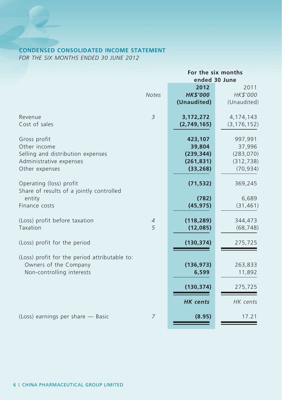# **CONDENSED CONSOLIDATED INCOME STATEMENT**

*FOR THE SIX MONTHS ENDED 30 JUNE 2012*

|                                                                     |                               | For the six months |               |  |
|---------------------------------------------------------------------|-------------------------------|--------------------|---------------|--|
|                                                                     |                               | ended 30 June      |               |  |
|                                                                     |                               | 2012               | 2011          |  |
|                                                                     | <b>Notes</b>                  | <b>HK\$'000</b>    | HK\$'000      |  |
|                                                                     |                               | (Unaudited)        | (Unaudited)   |  |
| Revenue                                                             | 3                             | 3,172,272          | 4, 174, 143   |  |
| Cost of sales                                                       |                               | (2,749,165)        | (3, 176, 152) |  |
| Gross profit                                                        |                               | 423,107            | 997,991       |  |
| Other income                                                        |                               | 39,804             | 37,996        |  |
| Selling and distribution expenses                                   |                               | (239, 344)         | (283,070)     |  |
| Administrative expenses                                             |                               | (261, 831)         | (312, 738)    |  |
| Other expenses                                                      |                               | (33, 268)          | (70, 934)     |  |
|                                                                     |                               |                    |               |  |
| Operating (loss) profit<br>Share of results of a jointly controlled |                               | (71, 532)          | 369,245       |  |
| entity                                                              |                               | (782)              | 6,689         |  |
| Finance costs                                                       |                               | (45, 975)          | (31, 461)     |  |
|                                                                     |                               |                    |               |  |
| (Loss) profit before taxation                                       | $\ensuremath{\mathnormal{4}}$ | (118, 289)         | 344,473       |  |
| Taxation                                                            | 5                             | (12,085)           | (68, 748)     |  |
| (Loss) profit for the period                                        |                               | (130, 374)         | 275,725       |  |
| (Loss) profit for the period attributable to:                       |                               |                    |               |  |
| Owners of the Company                                               |                               | (136, 973)         | 263,833       |  |
| Non-controlling interests                                           |                               | 6,599              | 11,892        |  |
|                                                                     |                               |                    |               |  |
|                                                                     |                               | (130,374)          | 275,725       |  |
|                                                                     |                               | <b>HK</b> cents    | HK cents      |  |
|                                                                     |                               |                    |               |  |
| (Loss) earnings per share - Basic                                   | $\overline{7}$                | (8.95)             | 17.21         |  |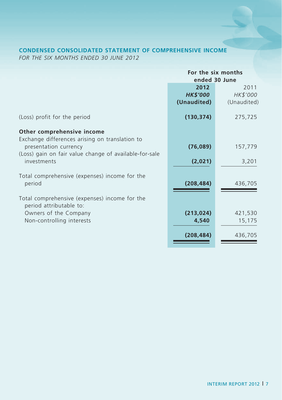# **CONDENSED CONSOLIDATED STATEMENT OF COMPREHENSIVE INCOME**

*FOR THE SIX MONTHS ENDED 30 JUNE 2012*

|                                                        | For the six months |             |  |  |
|--------------------------------------------------------|--------------------|-------------|--|--|
|                                                        | ended 30 June      |             |  |  |
|                                                        | 2012<br>2011       |             |  |  |
|                                                        | <b>HK\$'000</b>    | HK\$'000    |  |  |
|                                                        | (Unaudited)        | (Unaudited) |  |  |
| (Loss) profit for the period                           | (130, 374)         | 275,725     |  |  |
| Other comprehensive income                             |                    |             |  |  |
| Exchange differences arising on translation to         |                    |             |  |  |
| presentation currency                                  | (76,089)           | 157,779     |  |  |
| (Loss) gain on fair value change of available-for-sale |                    |             |  |  |
| investments                                            | (2,021)            | 3,201       |  |  |
| Total comprehensive (expenses) income for the          |                    |             |  |  |
| period                                                 | (208, 484)         | 436,705     |  |  |
|                                                        |                    |             |  |  |
| Total comprehensive (expenses) income for the          |                    |             |  |  |
| period attributable to:                                |                    |             |  |  |
| Owners of the Company                                  | (213, 024)         | 421,530     |  |  |
| Non-controlling interests                              | 4,540              | 15,175      |  |  |
|                                                        |                    |             |  |  |
|                                                        | (208, 484)         | 436,705     |  |  |
|                                                        |                    |             |  |  |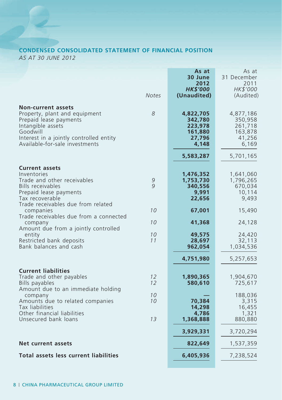# **CONDENSED CONSOLIDATED STATEMENT OF FINANCIAL POSITION** *AS AT 30 JUNE 2012*

|                                                                                                                                                                                                    |                   | As at                                                         | As at                                                         |
|----------------------------------------------------------------------------------------------------------------------------------------------------------------------------------------------------|-------------------|---------------------------------------------------------------|---------------------------------------------------------------|
|                                                                                                                                                                                                    |                   | 30 June<br>2012                                               | 31 December<br>2011                                           |
|                                                                                                                                                                                                    |                   | <b>HK\$'000</b>                                               | HK\$'000                                                      |
|                                                                                                                                                                                                    | <b>Notes</b>      | (Unaudited)                                                   | (Audited)                                                     |
| <b>Non-current assets</b><br>Property, plant and equipment<br>Prepaid lease payments<br>Intangible assets<br>Goodwill<br>Interest in a jointly controlled entity<br>Available-for-sale investments | 8                 | 4,822,705<br>342,780<br>223,978<br>161,880<br>27,796<br>4,148 | 4,877,186<br>350,958<br>261,718<br>163,878<br>41,256<br>6,169 |
|                                                                                                                                                                                                    |                   |                                                               |                                                               |
|                                                                                                                                                                                                    |                   | 5,583,287                                                     | 5,701,165                                                     |
| <b>Current assets</b><br>Inventories<br>Trade and other receivables<br>Bills receivables<br>Prepaid lease payments<br>Tax recoverable                                                              | 9<br>$\mathsf{Q}$ | 1,476,352<br>1,753,730<br>340,556<br>9,991<br>22,656          | 1,641,060<br>1,796,265<br>670,034<br>10,114<br>9,493          |
| Trade receivables due from related<br>companies                                                                                                                                                    | 10                | 67,001                                                        | 15,490                                                        |
| Trade receivables due from a connected<br>company                                                                                                                                                  | 10                | 41,368                                                        | 24,128                                                        |
| Amount due from a jointly controlled<br>entity                                                                                                                                                     | 10                | 49,575                                                        | 24,420                                                        |
| Restricted bank deposits                                                                                                                                                                           | 11                | 28,697                                                        | 32,113                                                        |
| Bank balances and cash                                                                                                                                                                             |                   | 962,054                                                       | 1,034,536                                                     |
|                                                                                                                                                                                                    |                   | 4,751,980                                                     | 5,257,653                                                     |
| <b>Current liabilities</b><br>Trade and other payables<br>Bills payables<br>Amount due to an immediate holding                                                                                     | 12<br>12          | 1,890,365<br>580,610                                          | 1,904,670<br>725,617                                          |
| company<br>Amounts due to related companies<br>Tax liabilities                                                                                                                                     | 10<br>10          | 70,384<br>14,298                                              | 188,036<br>3,315<br>16,455                                    |
| Other financial liabilities<br>Unsecured bank loans                                                                                                                                                | 13                | 4,786<br>1,368,888                                            | 1,321<br>880,880                                              |
|                                                                                                                                                                                                    |                   | 3,929,331                                                     | 3,720,294                                                     |
| Net current assets                                                                                                                                                                                 |                   | 822,649                                                       | 1,537,359                                                     |
| <b>Total assets less current liabilities</b>                                                                                                                                                       |                   | 6,405,936                                                     |                                                               |
|                                                                                                                                                                                                    |                   |                                                               | 7,238,524                                                     |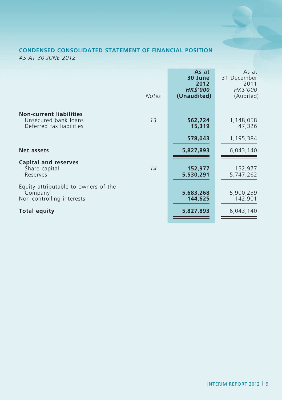# **CONDENSED CONSOLIDATED STATEMENT OF FINANCIAL POSITION** *AS AT 30 JUNE 2012*

|                                                                                          | <b>Notes</b> | As at<br>30 June<br>2012<br><b>HK\$'000</b><br>(Unaudited) | As at<br>31 December<br>2011<br>HK\$'000<br>(Audited) |
|------------------------------------------------------------------------------------------|--------------|------------------------------------------------------------|-------------------------------------------------------|
| <b>Non-current liabilities</b><br>Unsecured bank loans<br>Deferred tax liabilities       | 13           | 562,724<br>15,319<br>578,043                               | 1,148,058<br>47,326<br>1,195,384                      |
| Net assets<br><b>Capital and reserves</b><br>Share capital                               | 14           | 5,827,893<br>152,977                                       | 6,043,140<br>152,977                                  |
| Reserves<br>Equity attributable to owners of the<br>Company<br>Non-controlling interests |              | 5,530,291<br>5,683,268<br>144,625                          | 5,747,262<br>5,900,239<br>142,901                     |
| Total equity                                                                             |              | 5,827,893                                                  | 6,043,140                                             |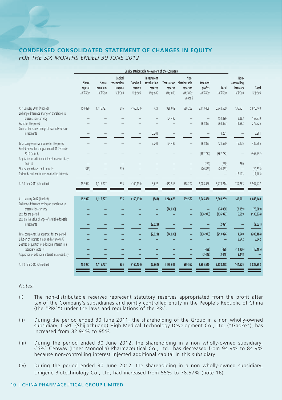# **CONDENSED CONSOLIDATED STATEMENT OF CHANGES IN EQUITY** *FOR THE SIX MONTHS ENDED 30 JUNE 2012*

|                                                                                            |                              |                              |                                              |                                 | Equity attributable to owners of the Company     |                     |                                                                          |                                 |                   |                                              |                   |
|--------------------------------------------------------------------------------------------|------------------------------|------------------------------|----------------------------------------------|---------------------------------|--------------------------------------------------|---------------------|--------------------------------------------------------------------------|---------------------------------|-------------------|----------------------------------------------|-------------------|
|                                                                                            | Share<br>capital<br>HK\$'000 | Share<br>premium<br>HK\$'000 | Capital<br>redemption<br>reserve<br>HK\$'000 | Goodwill<br>reserve<br>HK\$'000 | Investment<br>revaluation<br>reserve<br>HK\$'000 | reserve<br>HK\$'000 | Non-<br>Translation distributable<br>reserves<br>HK\$'000<br>(note $i$ ) | Retained<br>profits<br>HK\$'000 | Total<br>HK\$'000 | Non-<br>controlling<br>interests<br>HK\$'000 | Total<br>HK\$'000 |
| At 1 January 2011 (Audited)                                                                | 153,496                      | 1,116,727                    | 316                                          | (160, 130)                      | 421                                              | 928,019             | 588,202                                                                  | 3,113,458                       | 5,740,509         | 135,931                                      | 5,876,440         |
| Exchange difference arising on translation to<br>presentation currency                     |                              |                              |                                              |                                 |                                                  | 154,496             |                                                                          | $\qquad \qquad -$               | 154,496           | 3,283                                        | 157,779           |
| Profit for the period                                                                      |                              |                              |                                              |                                 |                                                  |                     |                                                                          | 263,833                         | 263,833           | 11,892                                       | 275,725           |
| Gain on fair value change of available-for-sale                                            |                              |                              |                                              |                                 |                                                  |                     |                                                                          |                                 |                   |                                              |                   |
| <i>investments</i>                                                                         |                              |                              |                                              |                                 | 3,201                                            |                     |                                                                          |                                 | 3,201             |                                              | 3,201             |
| Total comprehensive income for the period<br>Final dividend for the year ended 31 December |                              |                              |                                              |                                 | 3,201                                            | 154,496             |                                                                          | 263,833                         | 421,530           | 15,175                                       | 436,705           |
| 2010 (note 6)                                                                              |                              |                              |                                              |                                 |                                                  |                     |                                                                          | (367, 732)                      | (367, 732)        |                                              | (367, 732)        |
| Acquisition of additional interest in a subsidiary                                         |                              |                              |                                              |                                 |                                                  |                     |                                                                          |                                 |                   |                                              |                   |
| (note ii)                                                                                  | $\overline{\phantom{0}}$     |                              |                                              |                                 |                                                  |                     |                                                                          | (260)                           | (260)             | 260                                          |                   |
| Shares repurchased and cancelled                                                           | (519)                        |                              | 519                                          |                                 |                                                  |                     |                                                                          | (20, 833)                       | (20, 833)         | $\qquad \qquad -$                            | (20, 833)         |
| Dividends declared to non-controlling interests                                            |                              |                              |                                              |                                 |                                                  |                     |                                                                          |                                 |                   | (17, 103)                                    | (17, 103)         |
| At 30 June 2011 (Unaudited)                                                                | 152,977                      | 1,116,727                    | 835                                          | (160, 130)                      | 3,622                                            | 1,082,515           | 588,202                                                                  | 2,988,466                       | 5,773,214         | 134,263                                      | 5,907,477         |
| At 1 January 2012 (Audited)                                                                | 152,977                      | 1,116,727                    | 835                                          | (160, 130)                      | (843)                                            | 1,244,676           | 599,567                                                                  | 2,946,430                       | 5,900,239         | 142,901                                      | 6,043,140         |
| Exchange difference arising on translation to<br>presentation currency                     |                              |                              |                                              |                                 |                                                  | (74, 030)           |                                                                          | -                               | (74, 030)         | (2,059)                                      | (76,089)          |
| Loss for the period                                                                        |                              |                              |                                              |                                 |                                                  |                     |                                                                          | (136, 973)                      | (136, 973)        | 6,599                                        | (130, 374)        |
| Loss on fair value change of available-for-sale                                            |                              |                              |                                              |                                 |                                                  |                     |                                                                          |                                 |                   |                                              |                   |
| <i>investments</i>                                                                         |                              |                              |                                              |                                 | (2,021)                                          |                     |                                                                          |                                 | (2,021)           |                                              | (2,021)           |
| Total comprehensive expenses for the period                                                |                              |                              |                                              |                                 | (2,021)                                          | (74, 030)           |                                                                          | (136, 973)                      | (213, 024)        | 4,540                                        | (208, 484)        |
| Dilution of interest in a subsidiary (note iii)                                            |                              |                              |                                              |                                 |                                                  |                     |                                                                          |                                 |                   | 8,642                                        | 8,642             |
| Deemed acquisition of additional interest in a                                             |                              |                              |                                              |                                 |                                                  |                     |                                                                          |                                 |                   |                                              |                   |
| subsidiary (note iv)                                                                       |                              |                              |                                              |                                 |                                                  |                     |                                                                          | (499)                           | (499)             | (14, 906)                                    | (15, 405)         |
| Acquisition of additional interest in a subsidiary                                         |                              |                              |                                              |                                 |                                                  |                     |                                                                          | (3, 448)                        | (3, 448)          | 3,448                                        |                   |
| At 30 June 2012 (Unaudited)                                                                | 152,977                      | 1,116,727                    | 835                                          | (160, 130)                      | (2,864)                                          | 1,170,646           | 599,567                                                                  | 2,805,510                       | 5,683,268         | 144,625                                      | 5,827,893         |
|                                                                                            |                              |                              |                                              |                                 |                                                  |                     |                                                                          |                                 |                   |                                              |                   |

#### *Notes:*

- (i) The non-distributable reserves represent statutory reserves appropriated from the profit after tax of the Company's subsidiaries and jointly controlled entity in the People's Republic of China (the "PRC") under the laws and regulations of the PRC.
- (ii) During the period ended 30 June 2011, the shareholding of the Group in a non wholly-owned subsidiary, CSPC (Shijiazhuang) High Medical Technology Development Co., Ltd. ("Gaoke"), has increased from 82.94% to 95%.
- (iii) During the period ended 30 June 2012, the shareholding in a non wholly-owned subsidiary, CSPC Cenway (Inner Mongolia) Pharmaceutical Co., Ltd., has decreased from 94.9% to 84.9% because non-controlling interest injected additional capital in this subsidiary.
- (iv) During the period ended 30 June 2012, the shareholding in a non wholly-owned subsidiary, Unigene Biotechnology Co., Ltd, had increased from 55% to 78.57% (note 16).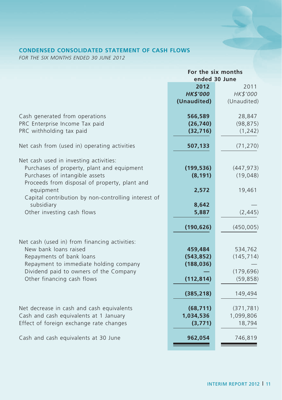# **CONDENSED CONSOLIDATED STATEMENT OF CASH FLOWS**

*FOR THE SIX MONTHS ENDED 30 JUNE 2012*

|                                                     | For the six months |             |  |  |
|-----------------------------------------------------|--------------------|-------------|--|--|
|                                                     | ended 30 June      |             |  |  |
|                                                     | 2012<br>2011       |             |  |  |
|                                                     | <b>HK\$'000</b>    | HK\$'000    |  |  |
|                                                     | (Unaudited)        | (Unaudited) |  |  |
|                                                     |                    |             |  |  |
| Cash generated from operations                      | 566,589            | 28,847      |  |  |
| PRC Enterprise Income Tax paid                      | (26, 740)          | (98, 875)   |  |  |
| PRC withholding tax paid                            | (32, 716)          | (1, 242)    |  |  |
|                                                     |                    |             |  |  |
| Net cash from (used in) operating activities        | 507,133            | (71, 270)   |  |  |
|                                                     |                    |             |  |  |
| Net cash used in investing activities:              |                    |             |  |  |
| Purchases of property, plant and equipment          | (199, 536)         | (447, 973)  |  |  |
| Purchases of intangible assets                      | (8, 191)           | (19,048)    |  |  |
| Proceeds from disposal of property, plant and       |                    |             |  |  |
| equipment                                           | 2,572              | 19,461      |  |  |
| Capital contribution by non-controlling interest of |                    |             |  |  |
| subsidiary                                          | 8,642              |             |  |  |
| Other investing cash flows                          | 5,887              | (2, 445)    |  |  |
|                                                     |                    |             |  |  |
|                                                     | (190, 626)         | (450,005)   |  |  |
|                                                     |                    |             |  |  |
| Net cash (used in) from financing activities:       |                    |             |  |  |
| New bank loans raised                               | 459,484            | 534,762     |  |  |
| Repayments of bank loans                            | (543, 852)         | (145, 714)  |  |  |
| Repayment to immediate holding company              | (188, 036)         |             |  |  |
| Dividend paid to owners of the Company              |                    | (179, 696)  |  |  |
| Other financing cash flows                          | (112, 814)         | (59, 858)   |  |  |
|                                                     |                    |             |  |  |
|                                                     | (385, 218)         | 149,494     |  |  |
|                                                     |                    |             |  |  |
| Net decrease in cash and cash equivalents           | (68, 711)          | (371, 781)  |  |  |
| Cash and cash equivalents at 1 January              | 1,034,536          | 1,099,806   |  |  |
| Effect of foreign exchange rate changes             | (3, 771)           | 18,794      |  |  |
|                                                     |                    |             |  |  |
| Cash and cash equivalents at 30 June                | 962,054            | 746,819     |  |  |
|                                                     |                    |             |  |  |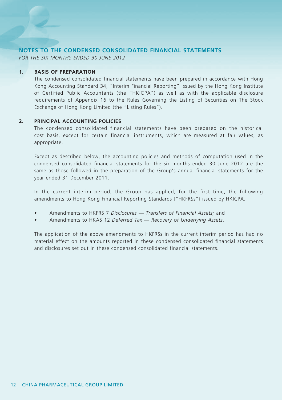## **NOTES TO THE CONDENSED CONSOLIDATED FINANCIAL STATEMENTS**

*FOR THE SIX MONTHS ENDED 30 JUNE 2012*

## **1. BASIS OF PREPARATION**

The condensed consolidated financial statements have been prepared in accordance with Hong Kong Accounting Standard 34, "Interim Financial Reporting" issued by the Hong Kong Institute of Certified Public Accountants (the "HKICPA") as well as with the applicable disclosure requirements of Appendix 16 to the Rules Governing the Listing of Securities on The Stock Exchange of Hong Kong Limited (the "Listing Rules").

## **2. Principal Accounting Policies**

The condensed consolidated financial statements have been prepared on the historical cost basis, except for certain financial instruments, which are measured at fair values, as appropriate.

Except as described below, the accounting policies and methods of computation used in the condensed consolidated financial statements for the six months ended 30 June 2012 are the same as those followed in the preparation of the Group's annual financial statements for the year ended 31 December 2011.

In the current interim period, the Group has applied, for the first time, the following amendments to Hong Kong Financial Reporting Standards ("HKFRSs") issued by HKICPA.

- Amendments to HKFRS 7 Disclosures Transfers of Financial Assets; and
- Amendments to HKAS 12 *Deferred Tax Recovery of Underlying Assets*.

The application of the above amendments to HKFRSs in the current interim period has had no material effect on the amounts reported in these condensed consolidated financial statements and disclosures set out in these condensed consolidated financial statements.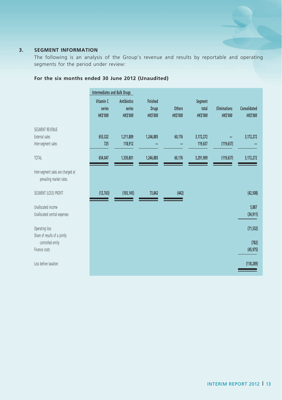# **3. SEGMENT INFORMATION**

The following is an analysis of the Group's revenue and results by reportable and operating segments for the period under review:

|                                                                     | <b>Intermediates and Bulk Drugs</b>    |                                                 |                                                   |                                 |                                    |                                        |                                 |
|---------------------------------------------------------------------|----------------------------------------|-------------------------------------------------|---------------------------------------------------|---------------------------------|------------------------------------|----------------------------------------|---------------------------------|
|                                                                     | Vitamin C<br>series<br><b>HK\$'000</b> | <b>Antibiotics</b><br>series<br><b>HK\$'000</b> | <b>Finished</b><br><b>Drugs</b><br><b>HKS'000</b> | <b>Others</b><br><b>HKS'000</b> | Segment<br>total<br><b>HKS'000</b> | <b>Eliminations</b><br><b>HK\$'000</b> | Consolidated<br><b>HK\$'000</b> |
| SEGMENT REVENUE<br>External sales<br>Inter-segment sales            | 653,322<br>725                         | 1,211,889<br>118,912                            | 1,246,885                                         | 60,176                          | 3,172,272<br>119,637               | (119, 637)                             | 3,172,272                       |
| TOTAL                                                               | 654,047                                | 1,330,801                                       | 1,246,885                                         | 60,176                          | 3,291,909                          | (119, 637)                             | 3,172,272                       |
| Inter-segment sales are charged at<br>prevailing market rates.      |                                        |                                                 |                                                   |                                 |                                    |                                        |                                 |
| SEGMENT (LOSS) PROFIT                                               | (12, 763)                              | (103, 145)                                      | 73,842                                            | (442)                           |                                    |                                        | (42, 508)                       |
| Unallocated income<br>Unallocated central expenses                  |                                        |                                                 |                                                   |                                 |                                    |                                        | 5,887<br>(34, 911)              |
| Operating loss                                                      |                                        |                                                 |                                                   |                                 |                                    |                                        | (71, 532)                       |
| Share of results of a jointly<br>controlled entity<br>Finance costs |                                        |                                                 |                                                   |                                 |                                    |                                        | (782)<br>(45, 975)              |
| Loss before taxation                                                |                                        |                                                 |                                                   |                                 |                                    |                                        | (118, 289)                      |

# **For the six months ended 30 June 2012 (Unaudited)**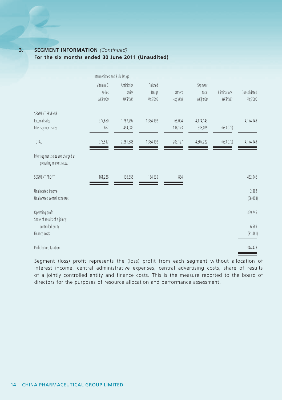## **3. SEGMENT INFORMATION** *(Continued)* **For the six months ended 30 June 2011 (Unaudited)**

|                                                                | Intermediates and Bulk Drugs    |                                   |                               |                    |                              |                          |                          |
|----------------------------------------------------------------|---------------------------------|-----------------------------------|-------------------------------|--------------------|------------------------------|--------------------------|--------------------------|
|                                                                | Vitamin C<br>series<br>HK\$'000 | Antibiotics<br>series<br>HK\$'000 | Finished<br>Drugs<br>HK\$'000 | Others<br>HK\$'000 | Segment<br>total<br>HK\$'000 | Eliminations<br>HK\$'000 | Consolidated<br>HK\$'000 |
| SEGMENT REVENUE<br>External sales<br>Inter-segment sales       | 977,650<br>867                  | 1,767,297<br>494,089              | 1,364,192                     | 65,004<br>138,123  | 4,174,143<br>633,079         | (633, 079)               | 4,174,143                |
| <b>TOTAL</b>                                                   | 978,517                         | 2,261,386                         | 1,364,192                     | 203,127            | 4,807,222                    | (633, 079)               | 4,174,143                |
| Inter-segment sales are charged at<br>prevailing market rates. |                                 |                                   |                               |                    |                              |                          |                          |
| SEGMENT PROFIT                                                 | 161,226                         | 136,356                           | 134,530                       | 834                |                              |                          | 432,946                  |
| Unallocated income<br>Unallocated central expenses             |                                 |                                   |                               |                    |                              |                          | 2,302<br>(66, 003)       |
| Operating profit                                               |                                 |                                   |                               |                    |                              |                          | 369,245                  |
| Share of results of a jointly<br>controlled entity             |                                 |                                   |                               |                    |                              |                          | 6,689                    |
| Finance costs                                                  |                                 |                                   |                               |                    |                              |                          | (31, 461)                |
| Profit before taxation                                         |                                 |                                   |                               |                    |                              |                          | 344,473                  |

Segment (loss) profit represents the (loss) profit from each segment without allocation of interest income, central administrative expenses, central advertising costs, share of results of a jointly controlled entity and finance costs. This is the measure reported to the board of directors for the purposes of resource allocation and performance assessment.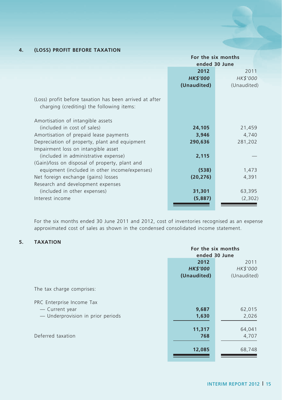# **4. (LOSS) PROFIT BEFORE TAXATION**

|                                                                                                      | For the six months |             |  |
|------------------------------------------------------------------------------------------------------|--------------------|-------------|--|
|                                                                                                      | ended 30 June      |             |  |
|                                                                                                      | 2012               | 2011        |  |
|                                                                                                      | <b>HK\$'000</b>    | HK\$'000    |  |
|                                                                                                      | (Unaudited)        | (Unaudited) |  |
| (Loss) profit before taxation has been arrived at after<br>charging (crediting) the following items: |                    |             |  |
| Amortisation of intangible assets                                                                    |                    |             |  |
| (included in cost of sales)                                                                          | 24,105             | 21,459      |  |
| Amortisation of prepaid lease payments                                                               | 3,946              | 4,740       |  |
| Depreciation of property, plant and equipment                                                        | 290,636            | 281,202     |  |
| Impairment loss on intangible asset                                                                  |                    |             |  |
| (included in administrative expense)                                                                 | 2,115              |             |  |
| (Gain)/loss on disposal of property, plant and                                                       |                    |             |  |
| equipment (included in other income/expenses)                                                        | (538)              | 1,473       |  |
| Net foreign exchange (gains) losses                                                                  | (20, 276)          | 4,391       |  |
| Research and development expenses                                                                    |                    |             |  |
| (included in other expenses)                                                                         | 31,301             | 63,395      |  |
| Interest income                                                                                      |                    | (2,302)     |  |
|                                                                                                      | (5,887)            |             |  |
|                                                                                                      |                    |             |  |

For the six months ended 30 June 2011 and 2012, cost of inventories recognised as an expense approximated cost of sales as shown in the condensed consolidated income statement.

## **5. TAXATION**

|                                   | For the six months |             |  |
|-----------------------------------|--------------------|-------------|--|
|                                   | ended 30 June      |             |  |
|                                   | 2012               | 2011        |  |
|                                   | <b>HK\$'000</b>    | HK\$'000    |  |
|                                   | (Unaudited)        | (Unaudited) |  |
| The tax charge comprises:         |                    |             |  |
| PRC Enterprise Income Tax         |                    |             |  |
| - Current year                    | 9,687              | 62,015      |  |
| - Underprovision in prior periods | 1,630              | 2,026       |  |
|                                   |                    |             |  |
|                                   | 11,317             | 64,041      |  |
| Deferred taxation                 | 768                | 4,707       |  |
|                                   | 12,085             | 68,748      |  |
|                                   |                    |             |  |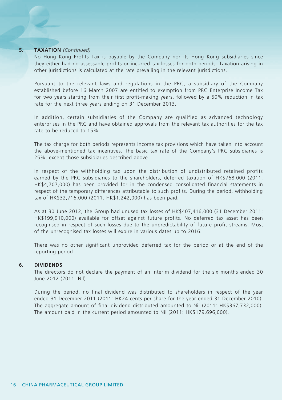#### **5. TAXATION** *(Continued)*

No Hong Kong Profits Tax is payable by the Company nor its Hong Kong subsidiaries since they either had no assessable profits or incurred tax losses for both periods. Taxation arising in other jurisdictions is calculated at the rate prevailing in the relevant jurisdictions.

Pursuant to the relevant laws and regulations in the PRC, a subsidiary of the Company established before 16 March 2007 are entitled to exemption from PRC Enterprise Income Tax for two years starting from their first profit-making years, followed by a 50% reduction in tax rate for the next three years ending on 31 December 2013.

In addition, certain subsidiaries of the Company are qualified as advanced technology enterprises in the PRC and have obtained approvals from the relevant tax authorities for the tax rate to be reduced to 15%.

The tax charge for both periods represents income tax provisions which have taken into account the above-mentioned tax incentives. The basic tax rate of the Company's PRC subsidiaries is 25%, except those subsidiaries described above.

In respect of the withholding tax upon the distribution of undistributed retained profits earned by the PRC subsidiaries to the shareholders, deferred taxation of HK\$768,000 (2011: HK\$4,707,000) has been provided for in the condensed consolidated financial statements in respect of the temporary differences attributable to such profits. During the period, withholding tax of HK\$32,716,000 (2011: HK\$1,242,000) has been paid.

As at 30 June 2012, the Group had unused tax losses of HK\$407,416,000 (31 December 2011: HK\$199,910,000) available for offset against future profits. No deferred tax asset has been recognised in respect of such losses due to the unpredictability of future profit streams. Most of the unrecognised tax losses will expire in various dates up to 2016.

There was no other significant unprovided deferred tax for the period or at the end of the reporting period.

#### **6. DIVIDENDS**

The directors do not declare the payment of an interim dividend for the six months ended 30 June 2012 (2011: Nil).

During the period, no final dividend was distributed to shareholders in respect of the year ended 31 December 2011 (2011: HK24 cents per share for the year ended 31 December 2010). The aggregate amount of final dividend distributed amounted to Nil (2011: HK\$367,732,000). The amount paid in the current period amounted to Nil (2011: HK\$179,696,000).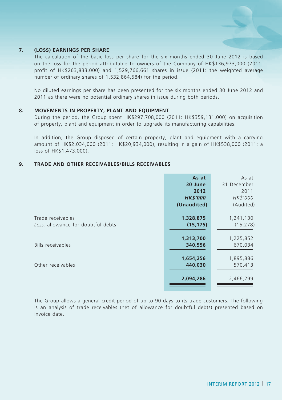## **7. (LOSS) EARNINGS PER SHARE**

The calculation of the basic loss per share for the six months ended 30 June 2012 is based on the loss for the period attributable to owners of the Company of HK\$136,973,000 (2011: profit of HK\$263,833,000) and 1,529,766,661 shares in issue (2011: the weighted average number of ordinary shares of 1,532,864,584) for the period.

No diluted earnings per share has been presented for the six months ended 30 June 2012 and 2011 as there were no potential ordinary shares in issue during both periods.

#### **8. MOVEMENTS IN PROPERTY, PLANT AND EQUIPMENT**

During the period, the Group spent HK\$297,708,000 (2011: HK\$359,131,000) on acquisition of property, plant and equipment in order to upgrade its manufacturing capabilities.

In addition, the Group disposed of certain property, plant and equipment with a carrying amount of HK\$2,034,000 (2011: HK\$20,934,000), resulting in a gain of HK\$538,000 (2011: a loss of HK\$1,473,000).

## **9. TRADE AND OTHER RECEIVABLES/BILLS RECEIVABLES**

|                                    | As at           | As at       |
|------------------------------------|-----------------|-------------|
|                                    | 30 June         | 31 December |
|                                    | 2012            | 2011        |
|                                    | <b>HK\$'000</b> | HK\$'000    |
|                                    | (Unaudited)     | (Audited)   |
| Trade receivables                  | 1,328,875       | 1,241,130   |
| Less: allowance for doubtful debts | (15, 175)       | (15, 278)   |
|                                    | 1,313,700       | 1,225,852   |
| Bills receivables                  | 340,556         | 670,034     |
|                                    | 1,654,256       | 1,895,886   |
| Other receivables                  | 440,030         | 570,413     |
|                                    | 2,094,286       | 2,466,299   |

The Group allows a general credit period of up to 90 days to its trade customers. The following is an analysis of trade receivables (net of allowance for doubtful debts) presented based on invoice date.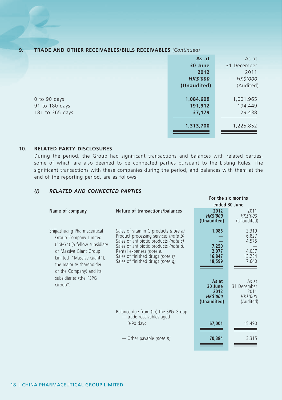## **9. TRADE AND OTHER RECEIVABLES/BILLS RECEIVABLES** *(Continued)*

|                 | As at<br>30 June | As at<br>31 December |
|-----------------|------------------|----------------------|
|                 | 2012             | 2011                 |
|                 | <b>HK\$'000</b>  | HK\$'000             |
|                 | (Unaudited)      | (Audited)            |
| 0 to 90 days    | 1,084,609        | 1,001,965            |
| 91 to 180 days  | 191,912          | 194,449              |
| 181 to 365 days | 37,179           | 29,438               |
|                 | 1,313,700        | 1,225,852            |

## **10. RELATED PARTY disclosures**

During the period, the Group had significant transactions and balances with related parties, some of which are also deemed to be connected parties pursuant to the Listing Rules. The significant transactions with these companies during the period, and balances with them at the end of the reporting period, are as follows:

## *(I) RELATED AND CONNECTED PARTIES*

|                                                                                                                                                                                                     |                                                                                                                                                                                                                                                                    | For the six months                                        |                                                       |
|-----------------------------------------------------------------------------------------------------------------------------------------------------------------------------------------------------|--------------------------------------------------------------------------------------------------------------------------------------------------------------------------------------------------------------------------------------------------------------------|-----------------------------------------------------------|-------------------------------------------------------|
|                                                                                                                                                                                                     |                                                                                                                                                                                                                                                                    | ended 30 June                                             |                                                       |
| Name of company                                                                                                                                                                                     | Nature of transactions/balances                                                                                                                                                                                                                                    | 2012<br><b>HK\$'000</b><br>(Unaudited)                    | 2011<br>HK\$'000<br>(Unaudited)                       |
| Shijiazhuang Pharmaceutical<br>Group Company Limited<br>("SPG") (a fellow subsidiary<br>of Massive Giant Group<br>Limited ("Massive Giant"),<br>the majority shareholder<br>of the Company) and its | Sales of vitamin C products (note a)<br>Product processing services (note b)<br>Sales of antibiotic products (note c)<br>Sales of antibiotic products (note d)<br>Rental expenses (note e)<br>Sales of finished drugs (note f)<br>Sales of finished drugs (note q) | 1,086<br>7,250<br>2,077<br>16,847<br>18,599               | 2,319<br>6,827<br>4,575<br>4,037<br>13,254<br>7,640   |
| subsidiaries (the "SPG<br>Group")                                                                                                                                                                   |                                                                                                                                                                                                                                                                    | As at<br>30 June<br>2012<br><b>HKS'000</b><br>(Unaudited) | As at<br>31 December<br>2011<br>HK\$'000<br>(Audited) |
|                                                                                                                                                                                                     | Balance due from (to) the SPG Group<br>- trade receivables aged                                                                                                                                                                                                    |                                                           |                                                       |
|                                                                                                                                                                                                     | $0-90$ days                                                                                                                                                                                                                                                        | 67,001                                                    | 15,490                                                |
|                                                                                                                                                                                                     | — Other payable (note h)                                                                                                                                                                                                                                           | 70,384                                                    | 3,315                                                 |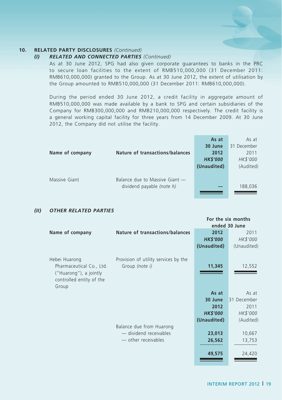## *(I) RELATED AND CONNECTED PARTIES (Continued)*

As at 30 June 2012, SPG had also given corporate guarantees to banks in the PRC to secure loan facilities to the extent of RMB510,000,000 (31 December 2011: RMB610,000,000) granted to the Group. As at 30 June 2012, the extent of utilisation by the Group amounted to RMB510,000,000 (31 December 2011: RMB610,000,000).

During the period ended 30 June 2012, a credit facility in aggregate amount of RMB510,000,000 was made available by a bank to SPG and certain subsidiaries of the Company for RMB300,000,000 and RMB210,000,000 respectively. The credit facility is a general working capital facility for three years from 14 December 2009. At 30 June 2012, the Company did not utilise the facility.

|                                 | As at           | As at       |
|---------------------------------|-----------------|-------------|
|                                 | 30 June         | 31 December |
| Nature of transactions/balances | 2012            | 2011        |
|                                 | <b>HK\$'000</b> | HK\$'000    |
|                                 | (Unaudited)     | (Audited)   |
|                                 |                 |             |
| Balance due to Massive Giant -  |                 |             |
| dividend payable (note h)       |                 | 188,036     |
|                                 |                 |             |
|                                 |                 |             |

## *(II) OTHER RELATED PARTIES*

|                                                                                                          |                                                        |                 | נוווטווו גוכ טווי וטו |
|----------------------------------------------------------------------------------------------------------|--------------------------------------------------------|-----------------|-----------------------|
|                                                                                                          |                                                        |                 | ended 30 June         |
| Name of company                                                                                          | Nature of transactions/balances                        | 2012            | 2011                  |
|                                                                                                          |                                                        | <b>HK\$'000</b> | HK\$'000              |
|                                                                                                          |                                                        | (Unaudited)     | (Unaudited)           |
| Hebei Huarong<br>Pharmaceutical Co., Ltd.<br>("Huarong"), a jointly<br>controlled entity of the<br>Group | Provision of utility services by the<br>Group (note i) | 11,345          | 12,552                |
|                                                                                                          |                                                        | As at           | As at                 |
|                                                                                                          |                                                        | 30 June         | 31 December           |
|                                                                                                          |                                                        | 2012            | 2011                  |
|                                                                                                          |                                                        |                 |                       |
|                                                                                                          |                                                        | <b>HK\$'000</b> | HK\$'000              |
|                                                                                                          |                                                        | (Unaudited)     | (Audited)             |
|                                                                                                          | Balance due from Huarong                               |                 |                       |
|                                                                                                          | — dividend receivables                                 | 23,013          | 10,667                |
|                                                                                                          | - other receivables                                    | 26,562          | 13,753                |
|                                                                                                          |                                                        | 49,575          | 24,420                |
|                                                                                                          |                                                        |                 |                       |

**For the six months**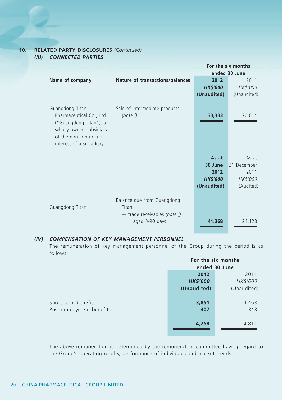## **10. RELATED PARTY disclosures** *(Continued) (III) CONNECTED PARTIES*

|                                                                                                                                                        |                                                                                       |                 | For the six months |
|--------------------------------------------------------------------------------------------------------------------------------------------------------|---------------------------------------------------------------------------------------|-----------------|--------------------|
|                                                                                                                                                        |                                                                                       |                 | ended 30 June      |
| Name of company                                                                                                                                        | <b>Nature of transactions/balances</b>                                                | 2012            | 2011               |
|                                                                                                                                                        |                                                                                       | <b>HK\$'000</b> | HK\$'000           |
|                                                                                                                                                        |                                                                                       | (Unaudited)     | (Unaudited)        |
| Guangdong Titan<br>Pharmaceutical Co., Ltd.<br>("Guangdong Titan"), a<br>wholly-owned subsidiary<br>of the non-controlling<br>interest of a subsidiary | Sale of intermediate products<br>$(note$ $i)$                                         | 33,333          | 70,014             |
|                                                                                                                                                        |                                                                                       | As at           | As at              |
|                                                                                                                                                        |                                                                                       | 30 June         | 31 December        |
|                                                                                                                                                        |                                                                                       | 2012            | 2011               |
|                                                                                                                                                        |                                                                                       | <b>HK\$'000</b> | HK\$'000           |
|                                                                                                                                                        |                                                                                       | (Unaudited)     | (Audited)          |
| Guangdong Titan                                                                                                                                        | Balance due from Guangdong<br>Titan<br>- trade receivables (note j)<br>aged 0-90 days | 41,368          | 24,128             |

## *(IV) COMPENSATION OF KEY MANAGEMENT PERSONNEL*

The remuneration of key management personnel of the Group during the period is as follows:

|                          | For the six months |               |
|--------------------------|--------------------|---------------|
|                          |                    | ended 30 June |
|                          | 2012               | 2011          |
|                          | <b>HK\$'000</b>    | HK\$'000      |
|                          | (Unaudited)        | (Unaudited)   |
|                          |                    |               |
| Short-term benefits      | 3,851              | 4,463         |
| Post-employment benefits | 407                | 348           |
|                          |                    |               |
|                          | 4,258              | 4,811         |
|                          |                    |               |

The above remuneration is determined by the remuneration committee having regard to the Group's operating results, performance of individuals and market trends.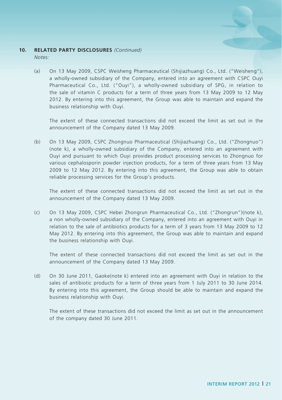*Notes:*

(a) On 13 May 2009, CSPC Weisheng Pharmaceutical (Shijiazhuang) Co., Ltd. ("Weisheng"), a wholly-owned subsidiary of the Company, entered into an agreement with CSPC Ouyi Pharmaceutical Co., Ltd. ("Ouyi"), a wholly-owned subsidiary of SPG, in relation to the sale of vitamin C products for a term of three years from 13 May 2009 to 12 May 2012. By entering into this agreement, the Group was able to maintain and expand the business relationship with Ouyi.

The extent of these connected transactions did not exceed the limit as set out in the announcement of the Company dated 13 May 2009.

(b) On 13 May 2009, CSPC Zhongnuo Pharmaceutical (Shijiazhuang) Co., Ltd. ("Zhongnuo") (note k), a wholly-owned subsidiary of the Company, entered into an agreement with Ouyi and pursuant to which Ouyi provides product processing services to Zhongnuo for various cephalosporin powder injection products, for a term of three years from 13 May 2009 to 12 May 2012. By entering into this agreement, the Group was able to obtain reliable processing services for the Group's products.

The extent of these connected transactions did not exceed the limit as set out in the announcement of the Company dated 13 May 2009.

(c) On 13 May 2009, CSPC Hebei Zhongrun Pharmaceutical Co., Ltd. ("Zhongrun")(note k), a non wholly-owned subsidiary of the Company, entered into an agreement with Ouyi in relation to the sale of antibiotics products for a term of 3 years from 13 May 2009 to 12 May 2012. By entering into this agreement, the Group was able to maintain and expand the business relationship with Ouyi.

The extent of these connected transactions did not exceed the limit as set out in the announcement of the Company dated 13 May 2009.

(d) On 30 June 2011, Gaoke(note k) entered into an agreement with Ouyi in relation to the sales of antibiotic products for a term of three years from 1 July 2011 to 30 June 2014. By entering into this agreement, the Group should be able to maintain and expand the business relationship with Ouyi.

 The extent of these transactions did not exceed the limit as set out in the announcement of the company dated 30 June 2011.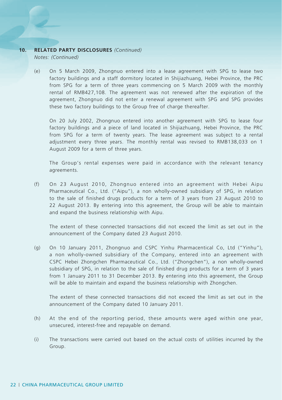*Notes: (Continued)*

(e) On 5 March 2009, Zhongnuo entered into a lease agreement with SPG to lease two factory buildings and a staff dormitory located in Shijiazhuang, Hebei Province, the PRC from SPG for a term of three years commencing on 5 March 2009 with the monthly rental of RMB427,108. The agreement was not renewed after the expiration of the agreement, Zhongnuo did not enter a renewal agreement with SPG and SPG provides these two factory buildings to the Group free of charge thereafter.

 On 20 July 2002, Zhongnuo entered into another agreement with SPG to lease four factory buildings and a piece of land located in Shijiazhuang, Hebei Province, the PRC from SPG for a term of twenty years. The lease agreement was subject to a rental adjustment every three years. The monthly rental was revised to RMB138,033 on 1 August 2009 for a term of three years.

 The Group's rental expenses were paid in accordance with the relevant tenancy agreements.

(f) On 23 August 2010, Zhongnuo entered into an agreement with Hebei Aipu Pharmaceutical Co., Ltd. ("Aipu"), a non wholly-owned subsidiary of SPG, in relation to the sale of finished drugs products for a term of 3 years from 23 August 2010 to 22 August 2013. By entering into this agreement, the Group will be able to maintain and expand the business relationship with Aipu.

 The extent of these connected transactions did not exceed the limit as set out in the announcement of the Company dated 23 August 2010.

(g) On 10 January 2011, Zhongnuo and CSPC Yinhu Pharmacentical Co, Ltd ("Yinhu"), a non wholly-owned subsidiary of the Company, entered into an agreement with CSPC Hebei Zhongchen Pharmaceutical Co., Ltd. ("Zhongchen"), a non wholly-owned subsidiary of SPG, in relation to the sale of finished drug products for a term of 3 years from 1 January 2011 to 31 December 2013. By entering into this agreement, the Group will be able to maintain and expand the business relationship with Zhongchen.

 The extent of these connected transactions did not exceed the limit as set out in the announcement of the Company dated 10 January 2011.

- (h) At the end of the reporting period, these amounts were aged within one year, unsecured, interest-free and repayable on demand.
- (i) The transactions were carried out based on the actual costs of utilities incurred by the Group.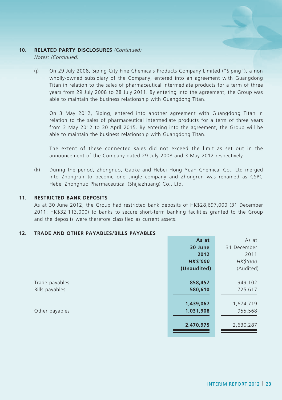*Notes: (Continued)*

(j) On 29 July 2008, Siping City Fine Chemicals Products Company Limited ("Siping"), a non wholly-owned subsidiary of the Company, entered into an agreement with Guangdong Titan in relation to the sales of pharmaceutical intermediate products for a term of three years from 29 July 2008 to 28 July 2011. By entering into the agreement, the Group was able to maintain the business relationship with Guangdong Titan.

 On 3 May 2012, Siping, entered into another agreement with Guangdong Titan in relation to the sales of pharmaceutical intermediate products for a term of three years from 3 May 2012 to 30 April 2015. By entering into the agreement, the Group will be able to maintain the business relationship with Guangdong Titan.

 The extent of these connected sales did not exceed the limit as set out in the announcement of the Company dated 29 July 2008 and 3 May 2012 respectively.

(k) During the period, Zhongnuo, Gaoke and Hebei Hong Yuan Chemical Co., Ltd merged into Zhongrun to become one single company and Zhongrun was renamed as CSPC Hebei Zhongnuo Pharmaceutical (Shijiazhuang) Co., Ltd.

### **11. RESTRICTED BANK DEPOSITS**

As at 30 June 2012, the Group had restricted bank deposits of HK\$28,697,000 (31 December 2011: HK\$32,113,000) to banks to secure short-term banking facilities granted to the Group and the deposits were therefore classified as current assets.

#### **12. TRADE AND OTHER PAYABLES/BILLS PAYABLES**

|                | As at           | As at       |
|----------------|-----------------|-------------|
|                | 30 June         | 31 December |
|                | 2012            | 2011        |
|                | <b>HK\$'000</b> | HK\$'000    |
|                | (Unaudited)     | (Audited)   |
|                |                 |             |
| Trade payables | 858,457         | 949,102     |
| Bills payables | 580,610         | 725,617     |
|                |                 |             |
|                | 1,439,067       | 1,674,719   |
| Other payables | 1,031,908       | 955,568     |
|                |                 |             |
|                | 2,470,975       | 2,630,287   |
|                |                 |             |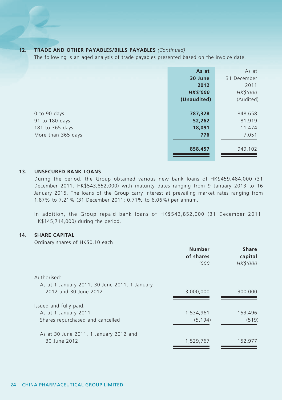## **12. TRADE AND OTHER PAYABLES/BILLS PAYABLES** *(Continued)*

The following is an aged analysis of trade payables presented based on the invoice date.

|                                                                         | As at<br>30 June<br>2012<br><b>HK\$'000</b><br>(Unaudited) | As at<br>31 December<br>2011<br>HK\$'000<br>(Audited) |
|-------------------------------------------------------------------------|------------------------------------------------------------|-------------------------------------------------------|
| 0 to 90 days<br>91 to 180 days<br>181 to 365 days<br>More than 365 days | 787,328<br>52,262<br>18,091<br>776                         | 848,658<br>81,919<br>11,474<br>7,051                  |
|                                                                         | 858,457                                                    | 949,102                                               |

## **13. UNSECURED BANK LOANS**

During the period, the Group obtained various new bank loans of HK\$459,484,000 (31 December 2011: HK\$543,852,000) with maturity dates ranging from 9 January 2013 to 16 January 2015. The loans of the Group carry interest at prevailing market rates ranging from 1.87% to 7.21% (31 December 2011: 0.71% to 6.06%) per annum.

In addition, the Group repaid bank loans of HK\$543,852,000 (31 December 2011: HK\$145,714,000) during the period.

## **14. SHARE CAPITAL**

Ordinary shares of HK\$0.10 each

|                                               | <b>Number</b><br>of shares | <b>Share</b><br>capital |
|-----------------------------------------------|----------------------------|-------------------------|
|                                               | '000                       | HK\$'000                |
| Authorised:                                   |                            |                         |
| As at 1 January 2011, 30 June 2011, 1 January |                            |                         |
| 2012 and 30 June 2012                         | 3,000,000                  | 300,000                 |
| Issued and fully paid:                        |                            |                         |
| As at 1 January 2011                          | 1,534,961                  | 153,496                 |
| Shares repurchased and cancelled              | (5, 194)                   | (519)                   |
| As at 30 June 2011, 1 January 2012 and        |                            |                         |
| 30 June 2012                                  | 1,529,767                  | 152,977                 |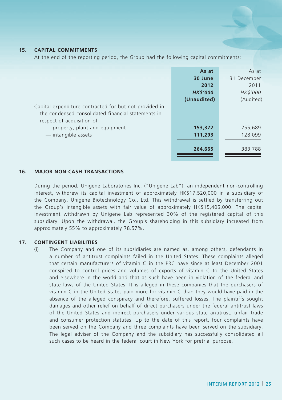## **15. CAPITAL COMMITMENTS**

At the end of the reporting period, the Group had the following capital commitments:

|                                                                                                                                           | As at<br>30 June<br>2012<br><b>HK\$'000</b><br>(Unaudited) | As at<br>31 December<br>2011<br>HK\$'000<br>(Audited) |
|-------------------------------------------------------------------------------------------------------------------------------------------|------------------------------------------------------------|-------------------------------------------------------|
| Capital expenditure contracted for but not provided in<br>the condensed consolidated financial statements in<br>respect of acquisition of |                                                            |                                                       |
| - property, plant and equipment<br>- intangible assets                                                                                    | 153,372<br>111,293                                         | 255,689<br>128,099                                    |
|                                                                                                                                           | 264,665                                                    | 383,788                                               |

#### **16. MAJOR NON-CASH TRANSACTIONS**

During the period, Unigene Laboratories Inc. ("Unigene Lab"), an independent non-controlling interest, withdrew its capital investment of approximately HK\$17,520,000 in a subsidiary of the Company, Unigene Biotechnology Co., Ltd. This withdrawal is settled by transferring out the Group's intangible assets with fair value of approximately HK\$15,405,000. The capital investment withdrawn by Unigene Lab represented 30% of the registered capital of this subsidiary. Upon the withdrawal, the Group's shareholding in this subsidiary increased from approximately 55% to approximately 78.57%.

#### **17. CONTINGENT LIABILITIES**

(i) The Company and one of its subsidiaries are named as, among others, defendants in a number of antitrust complaints failed in the United States. These complaints alleged that certain manufacturers of vitamin C in the PRC have since at least December 2001 conspired to control prices and volumes of exports of vitamin C to the United States and elsewhere in the world and that as such have been in violation of the federal and state laws of the United States. It is alleged in these companies that the purchasers of vitamin C in the United States paid more for vitamin C than they would have paid in the absence of the alleged conspiracy and therefore, suffered losses. The plaintiffs sought damages and other relief on behalf of direct purchasers under the federal antitrust laws of the United States and indirect purchasers under various state antitrust, unfair trade and consumer protection statutes. Up to the date of this report, four complaints have been served on the Company and three complaints have been served on the subsidiary. The legal adviser of the Company and the subsidiary has successfully consolidated all such cases to be heard in the federal court in New York for pretrial purpose.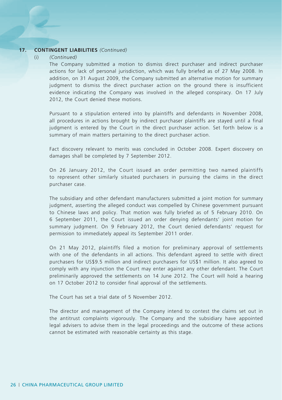## **17. CONTINGENT LIABILITIES** *(Continued)*

#### (i) *(Continued)*

The Company submitted a motion to dismiss direct purchaser and indirect purchaser actions for lack of personal jurisdiction, which was fully briefed as of 27 May 2008. In addition, on 31 August 2009, the Company submitted an alternative motion for summary judgment to dismiss the direct purchaser action on the ground there is insufficient evidence indicating the Company was involved in the alleged conspiracy. On 17 July 2012, the Court denied these motions.

Pursuant to a stipulation entered into by plaintiffs and defendants in November 2008, all procedures in actions brought by indirect purchaser plaintiffs are stayed until a final judgment is entered by the Court in the direct purchaser action. Set forth below is a summary of main matters pertaining to the direct purchaser action.

Fact discovery relevant to merits was concluded in October 2008. Expert discovery on damages shall be completed by 7 September 2012.

On 26 January 2012, the Court issued an order permitting two named plaintiffs to represent other similarly situated purchasers in pursuing the claims in the direct purchaser case.

The subsidiary and other defendant manufacturers submitted a joint motion for summary judgment, asserting the alleged conduct was compelled by Chinese government pursuant to Chinese laws and policy. That motion was fully briefed as of 5 February 2010. On 6 September 2011, the Court issued an order denying defendants' joint motion for summary judgment. On 9 February 2012, the Court denied defendants' request for permission to immediately appeal its September 2011 order.

On 21 May 2012, plaintiffs filed a motion for preliminary approval of settlements with one of the defendants in all actions. This defendant agreed to settle with direct purchasers for US\$9.5 million and indirect purchasers for US\$1 million. It also agreed to comply with any injunction the Court may enter against any other defendant. The Court preliminarily approved the settlements on 14 June 2012. The Court will hold a hearing on 17 October 2012 to consider final approval of the settlements.

The Court has set a trial date of 5 November 2012.

The director and management of the Company intend to contest the claims set out in the antitrust complaints vigorously. The Company and the subsidiary have appointed legal advisers to advise them in the legal proceedings and the outcome of these actions cannot be estimated with reasonable certainty as this stage.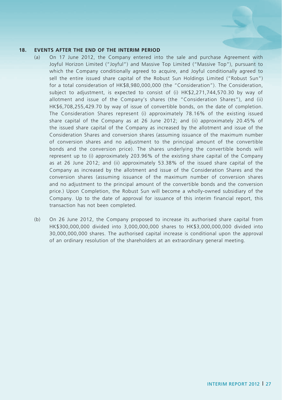## **18. EVENTS AFTER THE END OF THE INTERIM PERIOD**

- (a) On 17 June 2012, the Company entered into the sale and purchase Agreement with Joyful Horizon Limited ("Joyful") and Massive Top Limited ("Massive Top"), pursuant to which the Company conditionally agreed to acquire, and Joyful conditionally agreed to sell the entire issued share capital of the Robust Sun Holdings Limited ("Robust Sun") for a total consideration of HK\$8,980,000,000 (the "Consideration"). The Consideration, subject to adjustment, is expected to consist of (i) HK\$2,271,744,570.30 by way of allotment and issue of the Company's shares (the "Consideration Shares"), and (ii) HK\$6,708,255,429.70 by way of issue of convertible bonds, on the date of completion. The Consideration Shares represent (i) approximately 78.16% of the existing issued share capital of the Company as at 26 June 2012; and (ii) approximately 20.45% of the issued share capital of the Company as increased by the allotment and issue of the Consideration Shares and conversion shares (assuming issuance of the maximum number of conversion shares and no adjustment to the principal amount of the convertible bonds and the conversion price). The shares underlying the convertible bonds will represent up to (i) approximately 203.96% of the existing share capital of the Company as at 26 June 2012; and (ii) approximately 53.38% of the issued share capital of the Company as increased by the allotment and issue of the Consideration Shares and the conversion shares (assuming issuance of the maximum number of conversion shares and no adjustment to the principal amount of the convertible bonds and the conversion price.) Upon Completion, the Robust Sun will become a wholly-owned subsidiary of the Company. Up to the date of approval for issuance of this interim financial report, this transaction has not been completed.
- (b) On 26 June 2012, the Company proposed to increase its authorised share capital from HK\$300,000,000 divided into 3,000,000,000 shares to HK\$3,000,000,000 divided into 30,000,000,000 shares. The authorised capital increase is conditional upon the approval of an ordinary resolution of the shareholders at an extraordinary general meeting.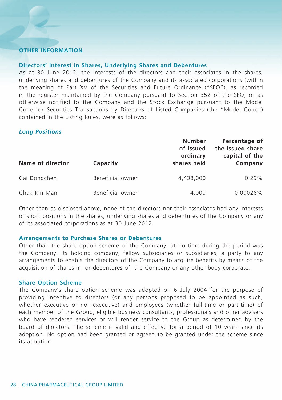# **Other Information**

# **Directors' Interest in Shares, Underlying Shares and Debentures**

As at 30 June 2012, the interests of the directors and their associates in the shares, underlying shares and debentures of the Company and its associated corporations (within the meaning of Part XV of the Securities and Future Ordinance ("SFO"), as recorded in the register maintained by the Company pursuant to Section 352 of the SFO, or as otherwise notified to the Company and the Stock Exchange pursuant to the Model Code for Securities Transactions by Directors of Listed Companies (the "Model Code") contained in the Listing Rules, were as follows:

## *Long Positions*

| Name of director | Capacity         | Number<br>of issued<br>ordinary<br>shares held | Percentage of<br>the issued share<br>capital of the<br>Company |
|------------------|------------------|------------------------------------------------|----------------------------------------------------------------|
| Cai Dongchen     | Beneficial owner | 4,438,000                                      | 0.29%                                                          |
| Chak Kin Man     | Beneficial owner | 4.000                                          | $0.00026\%$                                                    |

Other than as disclosed above, none of the directors nor their associates had any interests or short positions in the shares, underlying shares and debentures of the Company or any of its associated corporations as at 30 June 2012.

## **Arrangements to Purchase Shares or Debentures**

Other than the share option scheme of the Company, at no time during the period was the Company, its holding company, fellow subsidiaries or subsidiaries, a party to any arrangements to enable the directors of the Company to acquire benefits by means of the acquisition of shares in, or debentures of, the Company or any other body corporate.

## **Share Option Scheme**

The Company's share option scheme was adopted on 6 July 2004 for the purpose of providing incentive to directors (or any persons proposed to be appointed as such, whether executive or non-executive) and employees (whether full-time or part-time) of each member of the Group, eligible business consultants, professionals and other advisers who have rendered services or will render service to the Group as determined by the board of directors. The scheme is valid and effective for a period of 10 years since its adoption. No option had been granted or agreed to be granted under the scheme since its adoption.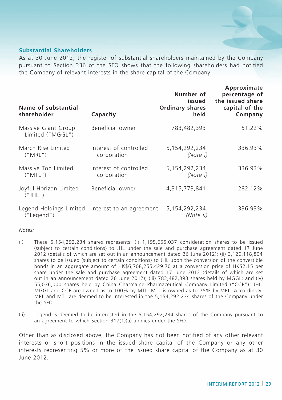# **Substantial Shareholders**

As at 30 June 2012, the register of substantial shareholders maintained by the Company pursuant to Section 336 of the SFO shows that the following shareholders had notified the Company of relevant interests in the share capital of the Company.

| Name of substantial<br>shareholder      | Capacity                              | Number of<br>issued<br><b>Ordinary shares</b><br>held | Approximate<br>percentage of<br>the issued share<br>capital of the<br>Company |
|-----------------------------------------|---------------------------------------|-------------------------------------------------------|-------------------------------------------------------------------------------|
| Massive Giant Group<br>Limited ("MGGL") | Beneficial owner                      | 783,482,393                                           | 51.22%                                                                        |
| March Rise Limited<br>("MRL")           | Interest of controlled<br>corporation | 5.154.292.234<br>(Note i)                             | 336.93%                                                                       |
| Massive Top Limited<br>("MTL")          | Interest of controlled<br>corporation | 5,154,292,234<br>(Note i)                             | 336.93%                                                                       |
| Joyful Horizon Limited<br>(''JHL'')     | Beneficial owner                      | 4,315,773,841                                         | 282.12%                                                                       |
| Legend Holdings Limited<br>("Legend")   | Interest to an agreement              | 5,154,292,234<br>(Note ii)                            | 336.93%                                                                       |

*Notes:*

- (i) These 5,154,292,234 shares represents: (i) 1,195,655,037 consideration shares to be issued (subject to certain conditions) to JHL under the sale and purchase agreement dated 17 June 2012 (details of which are set out in an announcement dated 26 June 2012); (ii) 3,120,118,804 shares to be issued (subject to certain conditions) to JHL upon the conversion of the convertible bonds in an aggregate amount of HK\$6,708,255,429.70 at a conversion price of HK\$2.15 per share under the sale and purchase agreement dated 17 June 2012 (details of which are set out in an announcement dated 26 June 2012); (iii) 783,482,393 shares held by MGGL; and (iv) 55,036,000 shares held by China Charmaine Pharmaceutical Company Limited ("CCP"). JHL, MGGL and CCP are owned as to 100% by MTL. MTL is owned as to 75% by MRL. Accordingly, MRL and MTL are deemed to be interested in the 5,154,292,234 shares of the Company under the SFO.
- (ii) Legend is deemed to be interested in the 5,154,292,234 shares of the Company pursuant to an agreement to which Section 317(1)(a) applies under the SFO.

Other than as disclosed above, the Company has not been notified of any other relevant interests or short positions in the issued share capital of the Company or any other interests representing 5% or more of the issued share capital of the Company as at 30 June 2012.